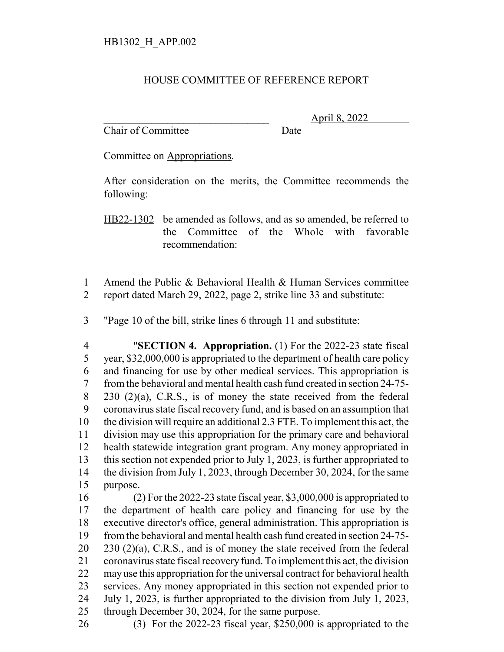## HOUSE COMMITTEE OF REFERENCE REPORT

Chair of Committee Date

\_\_\_\_\_\_\_\_\_\_\_\_\_\_\_\_\_\_\_\_\_\_\_\_\_\_\_\_\_\_\_ April 8, 2022

Committee on Appropriations.

After consideration on the merits, the Committee recommends the following:

HB22-1302 be amended as follows, and as so amended, be referred to the Committee of the Whole with favorable recommendation:

 Amend the Public & Behavioral Health & Human Services committee report dated March 29, 2022, page 2, strike line 33 and substitute:

"Page 10 of the bill, strike lines 6 through 11 and substitute:

 "**SECTION 4. Appropriation.** (1) For the 2022-23 state fiscal year, \$32,000,000 is appropriated to the department of health care policy and financing for use by other medical services. This appropriation is from the behavioral and mental health cash fund created in section 24-75- 230 (2)(a), C.R.S., is of money the state received from the federal coronavirus state fiscal recovery fund, and is based on an assumption that the division will require an additional 2.3 FTE. To implement this act, the division may use this appropriation for the primary care and behavioral health statewide integration grant program. Any money appropriated in this section not expended prior to July 1, 2023, is further appropriated to 14 the division from July 1, 2023, through December 30, 2024, for the same purpose.

 (2) For the 2022-23 state fiscal year, \$3,000,000 is appropriated to the department of health care policy and financing for use by the executive director's office, general administration. This appropriation is from the behavioral and mental health cash fund created in section 24-75-  $20 \quad 230 \tag{2}(a)$ , C.R.S., and is of money the state received from the federal coronavirus state fiscal recovery fund. To implement this act, the division may use this appropriation for the universal contract for behavioral health services. Any money appropriated in this section not expended prior to July 1, 2023, is further appropriated to the division from July 1, 2023, through December 30, 2024, for the same purpose.

(3) For the 2022-23 fiscal year, \$250,000 is appropriated to the